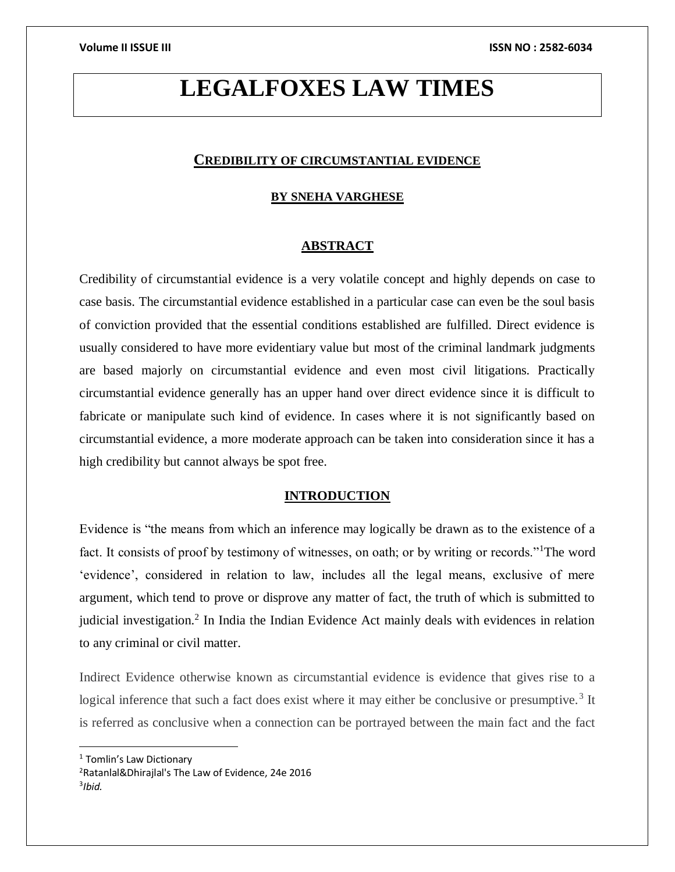# **LEGALFOXES LAW TIMES**

# **CREDIBILITY OF CIRCUMSTANTIAL EVIDENCE**

# **BY SNEHA VARGHESE**

# **ABSTRACT**

Credibility of circumstantial evidence is a very volatile concept and highly depends on case to case basis. The circumstantial evidence established in a particular case can even be the soul basis of conviction provided that the essential conditions established are fulfilled. Direct evidence is usually considered to have more evidentiary value but most of the criminal landmark judgments are based majorly on circumstantial evidence and even most civil litigations. Practically circumstantial evidence generally has an upper hand over direct evidence since it is difficult to fabricate or manipulate such kind of evidence. In cases where it is not significantly based on circumstantial evidence, a more moderate approach can be taken into consideration since it has a high credibility but cannot always be spot free.

# **INTRODUCTION**

Evidence is "the means from which an inference may logically be drawn as to the existence of a fact. It consists of proof by testimony of witnesses, on oath; or by writing or records."<sup>1</sup>The word 'evidence', considered in relation to law, includes all the legal means, exclusive of mere argument, which tend to prove or disprove any matter of fact, the truth of which is submitted to judicial investigation.<sup>2</sup> In India the Indian Evidence Act mainly deals with evidences in relation to any criminal or civil matter.

Indirect Evidence otherwise known as circumstantial evidence is evidence that gives rise to a logical inference that such a fact does exist where it may either be conclusive or presumptive.<sup>3</sup> It is referred as conclusive when a connection can be portrayed between the main fact and the fact

 $\overline{a}$ 

<sup>1</sup> Tomlin's Law Dictionary

<sup>2</sup>[Ratanlal&Dhirajlal's](https://elibrary.symlaw.ac.in:2103/api/document/collection/analytical-materials-in/id/5TSG-FP31-JPP5-23XD-00000-00?cite=(IN)%20Ratanlal%20%26%20Dhirajlal) The Law of Evidence, 24e 2016 3 *Ibid.*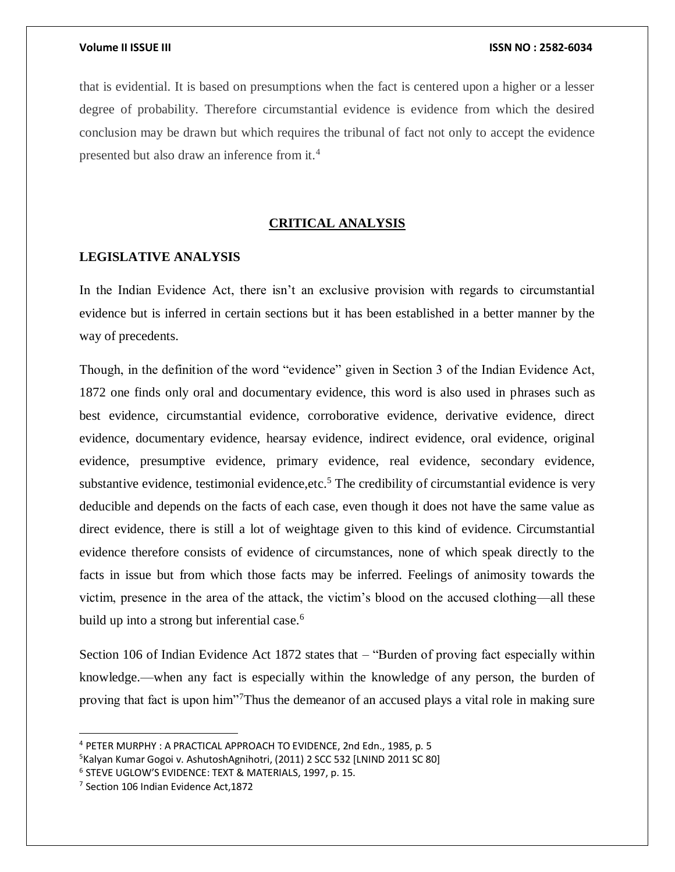that is evidential. It is based on presumptions when the fact is centered upon a higher or a lesser degree of probability. Therefore circumstantial evidence is evidence from which the desired conclusion may be drawn but which requires the tribunal of fact not only to accept the evidence presented but also draw an inference from it.<sup>4</sup>

# **CRITICAL ANALYSIS**

# **LEGISLATIVE ANALYSIS**

In the Indian Evidence Act, there isn't an exclusive provision with regards to circumstantial evidence but is inferred in certain sections but it has been established in a better manner by the way of precedents.

Though, in the definition of the word "evidence" given in Section 3 of the Indian Evidence Act, 1872 one finds only oral and documentary evidence, this word is also used in phrases such as best evidence, circumstantial evidence, corroborative evidence, derivative evidence, direct evidence, documentary evidence, hearsay evidence, indirect evidence, oral evidence, original evidence, presumptive evidence, primary evidence, real evidence, secondary evidence, substantive evidence, testimonial evidence, etc.<sup>5</sup> The credibility of circumstantial evidence is very deducible and depends on the facts of each case, even though it does not have the same value as direct evidence, there is still a lot of weightage given to this kind of evidence. Circumstantial evidence therefore consists of evidence of circumstances, none of which speak directly to the facts in issue but from which those facts may be inferred. Feelings of animosity towards the victim, presence in the area of the attack, the victim's blood on the accused clothing—all these build up into a strong but inferential case.<sup>6</sup>

Section 106 of Indian Evidence Act 1872 states that – "Burden of proving fact especially within knowledge.—when any fact is especially within the knowledge of any person, the burden of proving that fact is upon him"<sup>7</sup>Thus the demeanor of an accused plays a vital role in making sure

 $\overline{a}$ 

<sup>4</sup> PETER MURPHY : A PRACTICAL APPROACH TO EVIDENCE, 2nd Edn., 1985, p. 5

<sup>&</sup>lt;sup>5</sup>Kalyan Kumar Gogoi v. AshutoshAgnihotri, (2011) 2 SCC 532 [LNIND 2011 SC 80]

<sup>6</sup> STEVE UGLOW'S EVIDENCE: TEXT & MATERIALS, 1997, p. 15.

<sup>&</sup>lt;sup>7</sup> Section 106 Indian Evidence Act, 1872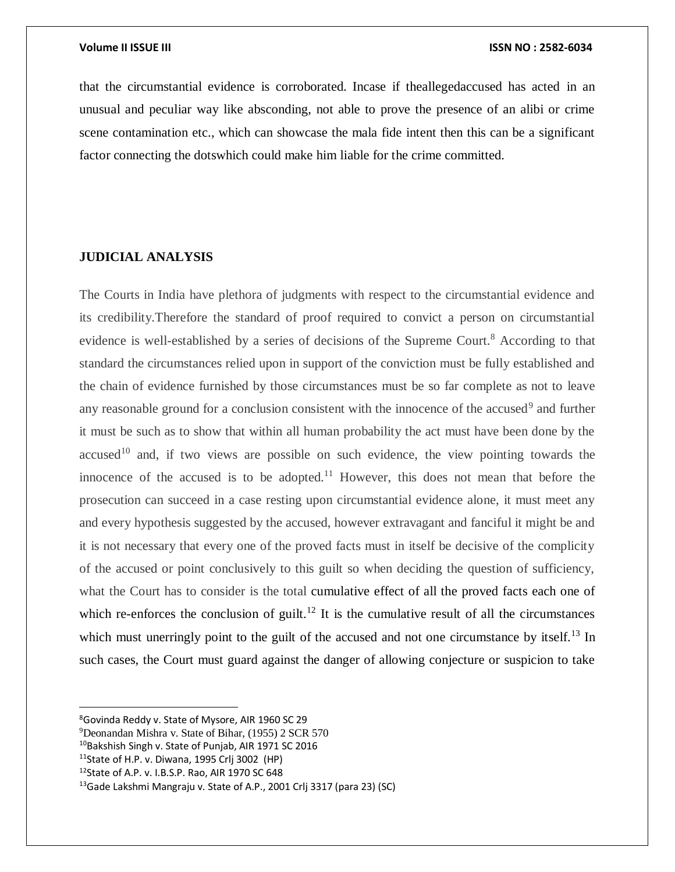that the circumstantial evidence is corroborated. Incase if theallegedaccused has acted in an unusual and peculiar way like absconding, not able to prove the presence of an alibi or crime scene contamination etc., which can showcase the mala fide intent then this can be a significant factor connecting the dotswhich could make him liable for the crime committed.

# **JUDICIAL ANALYSIS**

The Courts in India have plethora of judgments with respect to the circumstantial evidence and its credibility.Therefore the standard of proof required to convict a person on circumstantial evidence is well-established by a series of decisions of the Supreme Court.<sup>8</sup> According to that standard the circumstances relied upon in support of the conviction must be fully established and the chain of evidence furnished by those circumstances must be so far complete as not to leave any reasonable ground for a conclusion consistent with the innocence of the accused $9$  and further it must be such as to show that within all human probability the act must have been done by the accused<sup>10</sup> and, if two views are possible on such evidence, the view pointing towards the innocence of the accused is to be adopted.<sup>11</sup> However, this does not mean that before the prosecution can succeed in a case resting upon circumstantial evidence alone, it must meet any and every hypothesis suggested by the accused, however extravagant and fanciful it might be and it is not necessary that every one of the proved facts must in itself be decisive of the complicity of the accused or point conclusively to this guilt so when deciding the question of sufficiency, what the Court has to consider is the total cumulative effect of all the proved facts each one of which re-enforces the conclusion of guilt.<sup>12</sup> It is the cumulative result of all the circumstances which must unerringly point to the guilt of the accused and not one circumstance by itself.<sup>13</sup> In such cases, the Court must guard against the danger of allowing conjecture or suspicion to take

 $\overline{\phantom{a}}$ 

<sup>8</sup>Govinda Reddy v. State of Mysore, AIR 1960 SC 29

<sup>9</sup>Deonandan Mishra v. State of Bihar, (1955) 2 SCR 570

<sup>&</sup>lt;sup>10</sup>Bakshish Singh v. State of Punjab, AIR 1971 SC 2016

 $11$ State of H.P. v. Diwana, 1995 Crli 3002 (HP)

<sup>12</sup>State of A.P. v. I.B.S.P. Rao, AIR 1970 SC 648

<sup>&</sup>lt;sup>13</sup>Gade Lakshmi Mangraju v. State of A.P., 2001 Crlj 3317 (para 23) (SC)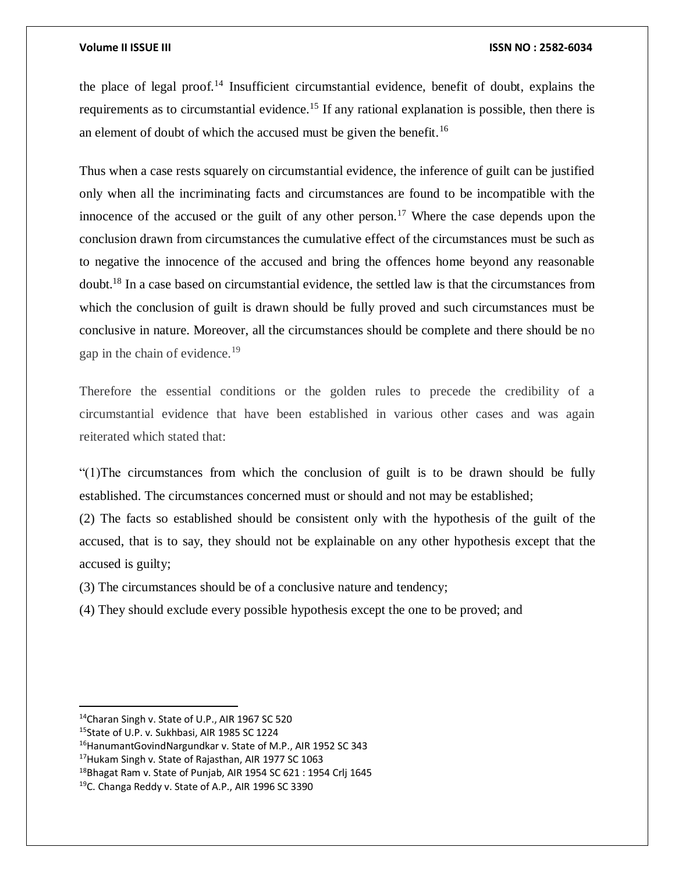the place of legal proof.<sup>14</sup> Insufficient circumstantial evidence, benefit of doubt, explains the requirements as to circumstantial evidence.<sup>15</sup> If any rational explanation is possible, then there is an element of doubt of which the accused must be given the benefit.<sup>16</sup>

Thus when a case rests squarely on circumstantial evidence, the inference of guilt can be justified only when all the incriminating facts and circumstances are found to be incompatible with the innocence of the accused or the guilt of any other person.<sup>17</sup> Where the case depends upon the conclusion drawn from circumstances the cumulative effect of the circumstances must be such as to negative the innocence of the accused and bring the offences home beyond any reasonable doubt.<sup>18</sup> In a case based on circumstantial evidence, the settled law is that the circumstances from which the conclusion of guilt is drawn should be fully proved and such circumstances must be conclusive in nature. Moreover, all the circumstances should be complete and there should be no gap in the chain of evidence.<sup>19</sup>

Therefore the essential conditions or the golden rules to precede the credibility of a circumstantial evidence that have been established in various other cases and was again reiterated which stated that:

"(1)The circumstances from which the conclusion of guilt is to be drawn should be fully established. The circumstances concerned must or should and not may be established;

(2) The facts so established should be consistent only with the hypothesis of the guilt of the accused, that is to say, they should not be explainable on any other hypothesis except that the accused is guilty;

(3) The circumstances should be of a conclusive nature and tendency;

(4) They should exclude every possible hypothesis except the one to be proved; and

 $\overline{\phantom{a}}$ 

<sup>&</sup>lt;sup>14</sup>Charan Singh v. State of U.P., AIR 1967 SC 520

<sup>15</sup>State of U.P. v. Sukhbasi, AIR 1985 SC 1224

<sup>&</sup>lt;sup>16</sup>HanumantGovindNargundkar v. State of M.P., AIR 1952 SC 343

<sup>&</sup>lt;sup>17</sup>Hukam Singh v. State of Rajasthan, AIR 1977 SC 1063

 $18$ Bhagat Ram v. State of Punjab, AIR 1954 SC 621 : 1954 Crlj 1645

<sup>19</sup>C. Changa Reddy v. State of A.P., AIR 1996 SC 3390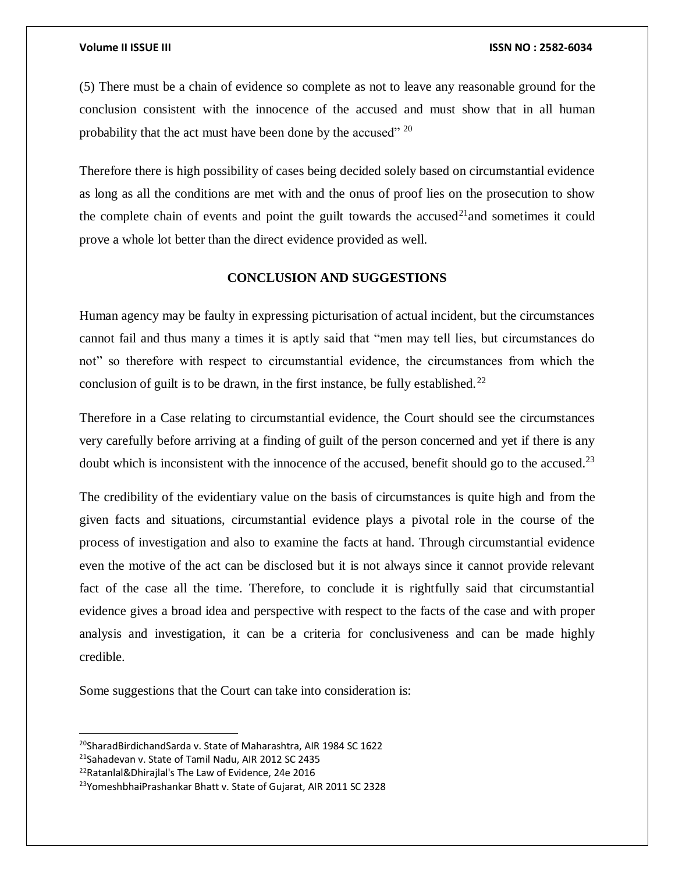(5) There must be a chain of evidence so complete as not to leave any reasonable ground for the conclusion consistent with the innocence of the accused and must show that in all human probability that the act must have been done by the accused" <sup>20</sup>

Therefore there is high possibility of cases being decided solely based on circumstantial evidence as long as all the conditions are met with and the onus of proof lies on the prosecution to show the complete chain of events and point the guilt towards the accused<sup>21</sup>and sometimes it could prove a whole lot better than the direct evidence provided as well.

# **CONCLUSION AND SUGGESTIONS**

Human agency may be faulty in expressing picturisation of actual incident, but the circumstances cannot fail and thus many a times it is aptly said that "men may tell lies, but circumstances do not" so therefore with respect to circumstantial evidence, the circumstances from which the conclusion of guilt is to be drawn, in the first instance, be fully established.<sup>22</sup>

Therefore in a Case relating to circumstantial evidence, the Court should see the circumstances very carefully before arriving at a finding of guilt of the person concerned and yet if there is any doubt which is inconsistent with the innocence of the accused, benefit should go to the accused.<sup>23</sup>

The credibility of the evidentiary value on the basis of circumstances is quite high and from the given facts and situations, circumstantial evidence plays a pivotal role in the course of the process of investigation and also to examine the facts at hand. Through circumstantial evidence even the motive of the act can be disclosed but it is not always since it cannot provide relevant fact of the case all the time. Therefore, to conclude it is rightfully said that circumstantial evidence gives a broad idea and perspective with respect to the facts of the case and with proper analysis and investigation, it can be a criteria for conclusiveness and can be made highly credible.

Some suggestions that the Court can take into consideration is:

 $\overline{a}$ 

<sup>&</sup>lt;sup>20</sup>SharadBirdichandSarda v. State of Maharashtra, AIR 1984 SC 1622

<sup>21</sup>Sahadevan v. State of Tamil Nadu, AIR 2012 SC 2435

<sup>22</sup>[Ratanlal&Dhirajlal's](https://elibrary.symlaw.ac.in:2103/api/document/collection/analytical-materials-in/id/5TSG-FP31-JPP5-23XD-00000-00?cite=(IN)%20Ratanlal%20%26%20Dhirajlal) The Law of Evidence, 24e 2016

<sup>23</sup>YomeshbhaiPrashankar Bhatt v. State of Gujarat, AIR 2011 SC 2328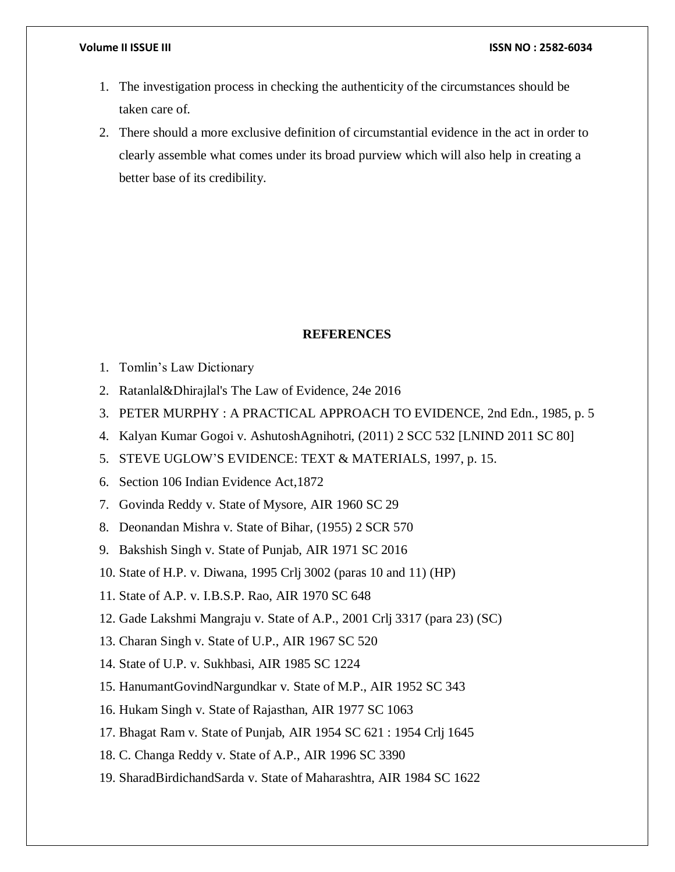- 1. The investigation process in checking the authenticity of the circumstances should be taken care of.
- 2. There should a more exclusive definition of circumstantial evidence in the act in order to clearly assemble what comes under its broad purview which will also help in creating a better base of its credibility.

#### **REFERENCES**

- 1. Tomlin's Law Dictionary
- 2. [Ratanlal&Dhirajlal's](https://elibrary.symlaw.ac.in:2103/api/document/collection/analytical-materials-in/id/5TSG-FP31-JPP5-23XD-00000-00?cite=(IN)%20Ratanlal%20%26%20Dhirajlal) The Law of Evidence, 24e 2016
- 3. PETER MURPHY : A PRACTICAL APPROACH TO EVIDENCE, 2nd Edn., 1985, p. 5
- 4. Kalyan Kumar Gogoi v. AshutoshAgnihotri, (2011) 2 SCC 532 [LNIND 2011 SC 80]
- 5. STEVE UGLOW'S EVIDENCE: TEXT & MATERIALS, 1997, p. 15.
- 6. Section 106 Indian Evidence Act,1872
- 7. Govinda Reddy v. State of Mysore, AIR 1960 SC 29
- 8. Deonandan Mishra v. State of Bihar, (1955) 2 SCR 570
- 9. Bakshish Singh v. State of Punjab, AIR 1971 SC 2016
- 10. State of H.P. v. Diwana, 1995 Crlj 3002 (paras 10 and 11) (HP)
- 11. State of A.P. v. I.B.S.P. Rao, AIR 1970 SC 648
- 12. Gade Lakshmi Mangraju v. State of A.P., 2001 Crlj 3317 (para 23) (SC)
- 13. Charan Singh v. State of U.P., AIR 1967 SC 520
- 14. State of U.P. v. Sukhbasi, AIR 1985 SC 1224
- 15. HanumantGovindNargundkar v. State of M.P., AIR 1952 SC 343
- 16. Hukam Singh v. State of Rajasthan, AIR 1977 SC 1063
- 17. Bhagat Ram v. State of Punjab, AIR 1954 SC 621 : 1954 Crlj 1645
- 18. C. Changa Reddy v. State of A.P., AIR 1996 SC 3390
- 19. SharadBirdichandSarda v. State of Maharashtra, AIR 1984 SC 1622